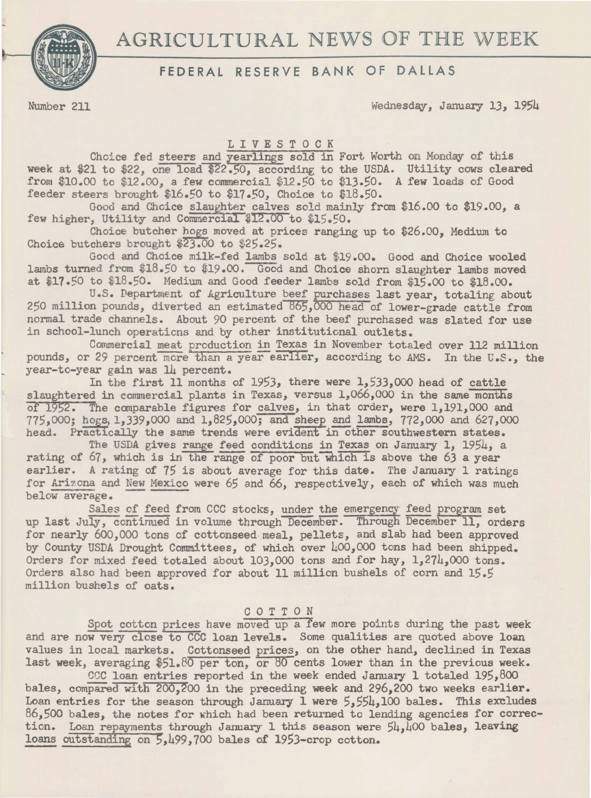# AGRICULTURAL NEWS OF THE WEEK



## FEDERAL RESERVE BANK OF DALLAS

Number 211 Wednesday, January 13, 1954

#### L I *V* E S T 0 C K

Choice fed steers and yearlings sold in Fort Worth on Monday of this week at \$21 to \$22, one load \$22.50, according to the USDA. Utility cows cleared from \$10.00 to \$12.00, a few commercial \$12.50 to \$13.50. A few loads of Good feeder steers brought \$16.50 to \$17.50, Choice to \$18.50.

Good and Choice slaughter calves sold mainly from \$16.00 to \$19.00, a few higher, Utility and Commercial \$12.00 to \$15.50.

Choice butcher hogs moved at prices ranging up to \$26.00, Medium to Choice butchers brought \$23.00 to \$25.25.

Good and Choice milk-fed lambs sold at \$19.00. Good and Choice wooled lambs turned from \$18.50 to \$19.00. Good and Choice shorn slaughter lambs moved at \$17.50 to \$18.50. Medium and Good feeder lambs sold from \$15.00 to \$18.00.

U.S. Department of Agriculture beef purchases last year, totaling about 250 million pounds, diverted an estimated 865,000 head of lower-grade cattle from normal trade channels. About 90 percent of the beef purchased was slated for use in school-lunch operaticns and by other institutional outlets.

Commercial meat production in Texas in November totaled over 112 million pounds, or 29 percent more than a year earlier, according to AMS. In the U.S., the year-to-year gain was 14 percent.

In the first 11 months of 1953, there were 1,533,000 head of cattle slaughtered in commercial plants in Texas, versus 1,066,000 in the same months of 1952. The canparable figures for calves, in that order, were 1,191,000 and 775,000; hogs, 1,339,000 and 1,825,000; and sheep and lambs, 772,000 and 627,000 head. Practically the same trends were evident in other southwestern states.<br>The USDA gives range feed conditions in Texas on January 1, 1954, a

The USDA gives range feed conditions in Texas on January 1, 1954, a rating of 67, which is in the range of poor but which is above the 63 a year earlier. A rating of 75 is about average for this date. The January 1 ratings for Arizona and New Mexico were 65 and 66, respectively, each of which was much below average.

Sales of feed from CCC stocks, under the emergency feed program set up last July, continued in volume through December. Through December 11, orders for nearly 600,000 tons of cottonseed meal, pellets, and slab had been approved by County USDA Drought Committees, of which over 400,000 tons had been shipped. Orders for mixed feed totaled about 103,000 tons and for hay, 1,274,000 tons. Orders also had been approved for about 11 million bushels of corn and 15.5 million bushels of oats.

### C 0 T T 0 N

Spot cotton prices have moved up a few more points during the past week and are now very close to CCC loan levels. Some qualities are quoted above loan values in local markets. Cottonseed prices, on the other hand, declined in Texas last week, averaging \$51.80 per ton, or 80 cents lower than in the previous week.

CCC loan entries reported in the week ended January 1 totaled 195,800 bales, compared with 200.200 in the preceding week and 296.200 two weeks earlier. Loan entries for the season through January 1 were  $5,554,100$  bales. This excludes  $86,500$  bales, the notes for which had been returned to lending agencies for correction. Loan repayments through January 1 this season were  $54,400$  bales, leaving loans outstanding on 5,499,700 bales of 1953-crop cotton.